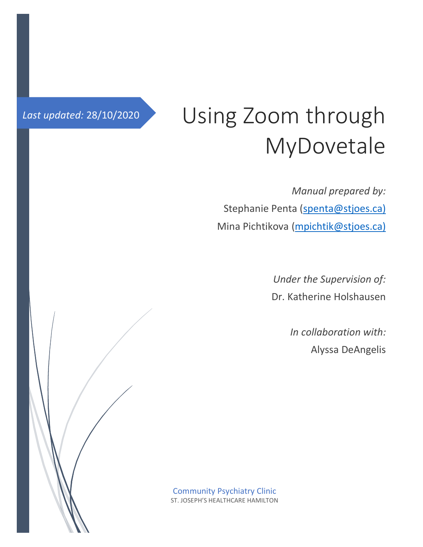# Last updated: 28/10/2020 Using Zoom through MyDovetale

*Manual prepared by:* Stephanie Penta [\(spenta@stjoes.ca\)](mailto:spenta@stjoes.ca)) Mina Pichtikova [\(mpichtik@stjoes.ca\)](mailto:mpichtik@stjoes.ca))

> *Under the Supervision of:* Dr. Katherine Holshausen

> > *In collaboration with:* Alyssa DeAngelis

Community Psychiatry Clinic ST. JOSEPH'S HEALTHCARE HAMILTON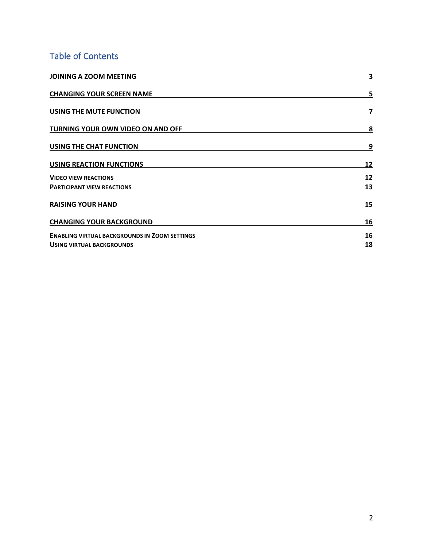## Table of Contents

| JOINING A ZOOM MEETING                               | 3  |
|------------------------------------------------------|----|
| <b>CHANGING YOUR SCREEN NAME</b>                     | 5  |
| USING THE MUTE FUNCTION                              | 7  |
| TURNING YOUR OWN VIDEO ON AND OFF                    | 8  |
| USING THE CHAT FUNCTION                              | 9  |
| <b>USING REACTION FUNCTIONS</b>                      | 12 |
| <b>VIDEO VIEW REACTIONS</b>                          | 12 |
| <b>PARTICIPANT VIEW REACTIONS</b>                    | 13 |
| <b>RAISING YOUR HAND</b>                             | 15 |
| <b>CHANGING YOUR BACKGROUND</b>                      | 16 |
| <b>ENABLING VIRTUAL BACKGROUNDS IN ZOOM SETTINGS</b> | 16 |
| <b>USING VIRTUAL BACKGROUNDS</b>                     | 18 |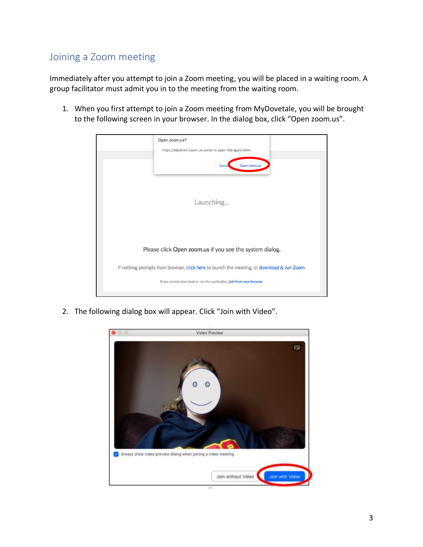## <span id="page-2-0"></span>Joining a Zoom meeting

Immediately after you attempt to join a Zoom meeting, you will be placed in a waiting room. A group facilitator must admit you in to the meeting from the waiting room.

1. When you first attempt to join a Zoom meeting from MyDovetale, you will be brought to the following screen in your browser. In the dialog box, click "Open zoom.us".



2. The following dialog box will appear. Click "Join with Video".

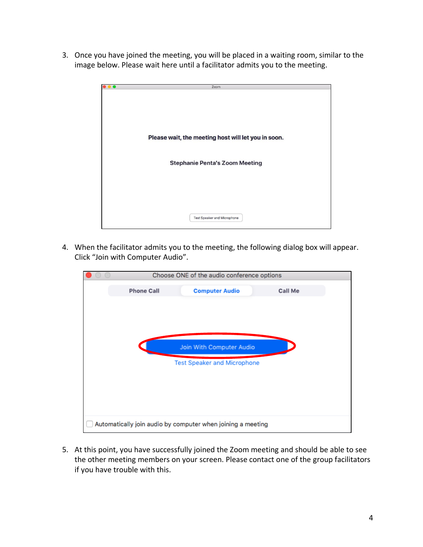3. Once you have joined the meeting, you will be placed in a waiting room, similar to the image below. Please wait here until a facilitator admits you to the meeting.



4. When the facilitator admits you to the meeting, the following dialog box will appear. Click "Join with Computer Audio".

| Choose ONE of the audio conference options |                                                             |         |  |
|--------------------------------------------|-------------------------------------------------------------|---------|--|
| <b>Phone Call</b>                          | <b>Computer Audio</b>                                       | Call Me |  |
|                                            |                                                             |         |  |
|                                            |                                                             |         |  |
|                                            |                                                             |         |  |
|                                            | Join With Computer Audio                                    |         |  |
|                                            | <b>Test Speaker and Microphone</b>                          |         |  |
|                                            |                                                             |         |  |
|                                            |                                                             |         |  |
|                                            |                                                             |         |  |
|                                            |                                                             |         |  |
|                                            | Automatically join audio by computer when joining a meeting |         |  |

5. At this point, you have successfully joined the Zoom meeting and should be able to see the other meeting members on your screen. Please contact one of the group facilitators if you have trouble with this.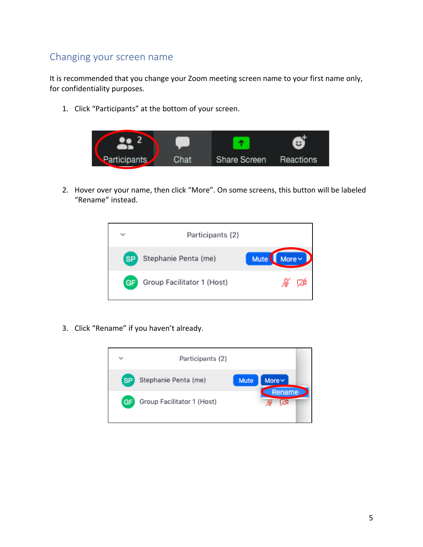### <span id="page-4-0"></span>Changing your screen name

It is recommended that you change your Zoom meeting screen name to your first name only, for confidentiality purposes.

1. Click "Participants" at the bottom of your screen.



2. Hover over your name, then click "More". On some screens, this button will be labeled "Rename" instead.



3. Click "Rename" if you haven't already.

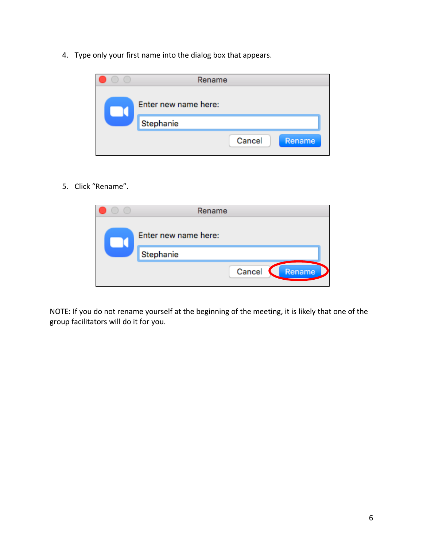4. Type only your first name into the dialog box that appears.

|                                   | Rename |        |        |
|-----------------------------------|--------|--------|--------|
| Enter new name here:<br>Stephanie |        |        |        |
|                                   |        | Cancel | Rename |

5. Click "Rename".

| Rename                            |  |
|-----------------------------------|--|
| Enter new name here:<br>Stephanie |  |
| Cancel<br>Rename                  |  |

NOTE: If you do not rename yourself at the beginning of the meeting, it is likely that one of the group facilitators will do it for you.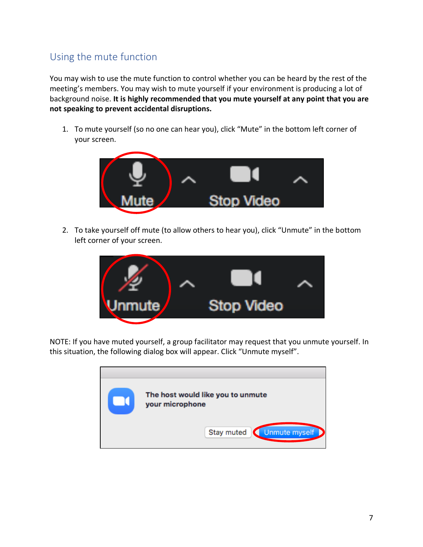## <span id="page-6-0"></span>Using the mute function

You may wish to use the mute function to control whether you can be heard by the rest of the meeting's members. You may wish to mute yourself if your environment is producing a lot of background noise. **It is highly recommended that you mute yourself at any point that you are not speaking to prevent accidental disruptions.**

1. To mute yourself (so no one can hear you), click "Mute" in the bottom left corner of your screen.



2. To take yourself off mute (to allow others to hear you), click "Unmute" in the bottom left corner of your screen.



NOTE: If you have muted yourself, a group facilitator may request that you unmute yourself. In this situation, the following dialog box will appear. Click "Unmute myself".

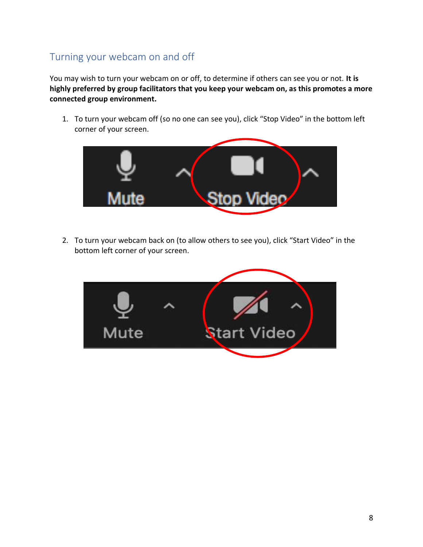## <span id="page-7-0"></span>Turning your webcam on and off

You may wish to turn your webcam on or off, to determine if others can see you or not. **It is highly preferred by group facilitators that you keep your webcam on, as this promotes a more connected group environment.** 

1. To turn your webcam off (so no one can see you), click "Stop Video" in the bottom left corner of your screen.



2. To turn your webcam back on (to allow others to see you), click "Start Video" in the bottom left corner of your screen.

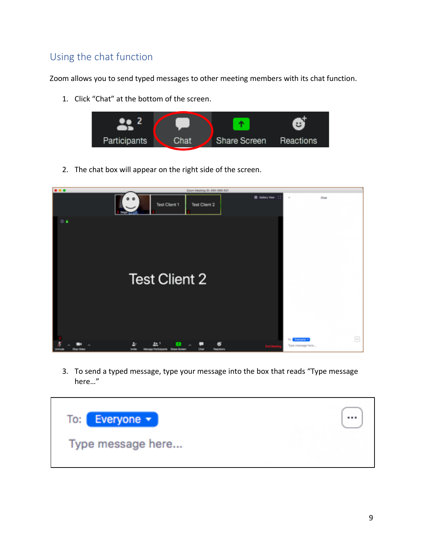## <span id="page-8-0"></span>Using the chat function

Zoom allows you to send typed messages to other meeting members with its chat function.

1. Click "Chat" at the bottom of the screen.



2. The chat box will appear on the right side of the screen.



3. To send a typed message, type your message into the box that reads "Type message here…"

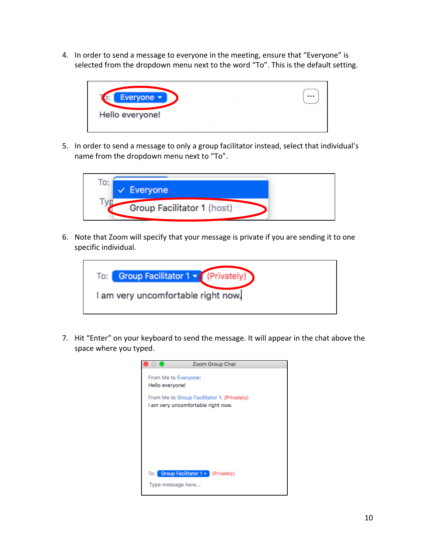4. In order to send a message to everyone in the meeting, ensure that "Everyone" is selected from the dropdown menu next to the word "To". This is the default setting.



5. In order to send a message to only a group facilitator instead, select that individual's name from the dropdown menu next to "To".



6. Note that Zoom will specify that your message is private if you are sending it to one specific individual.



7. Hit "Enter" on your keyboard to send the message. It will appear in the chat above the space where you typed.

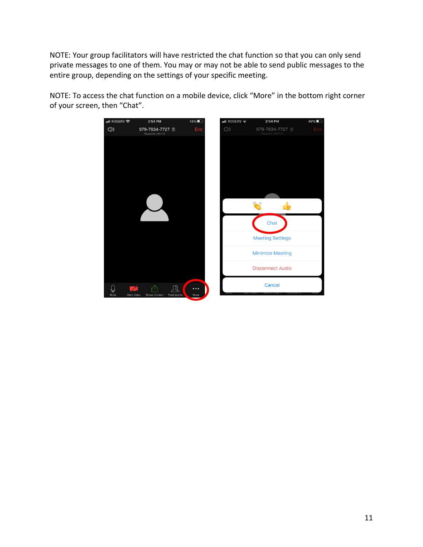NOTE: Your group facilitators will have restricted the chat function so that you can only send private messages to one of them. You may or may not be able to send public messages to the entire group, depending on the settings of your specific meeting.



NOTE: To access the chat function on a mobile device, click "More" in the bottom right corner of your screen, then "Chat".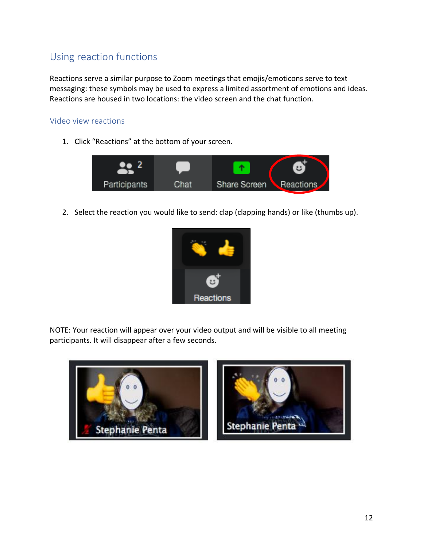## <span id="page-11-0"></span>Using reaction functions

Reactions serve a similar purpose to Zoom meetings that emojis/emoticons serve to text messaging: these symbols may be used to express a limited assortment of emotions and ideas. Reactions are housed in two locations: the video screen and the chat function.

#### <span id="page-11-1"></span>Video view reactions

1. Click "Reactions" at the bottom of your screen.



2. Select the reaction you would like to send: clap (clapping hands) or like (thumbs up).



NOTE: Your reaction will appear over your video output and will be visible to all meeting participants. It will disappear after a few seconds.

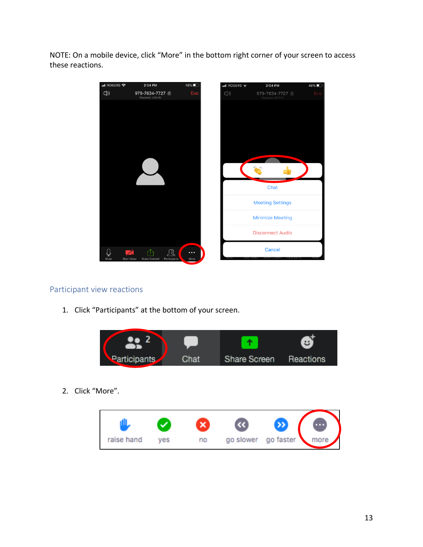NOTE: On a mobile device, click "More" in the bottom right corner of your screen to access these reactions.



#### <span id="page-12-0"></span>Participant view reactions

1. Click "Participants" at the bottom of your screen.

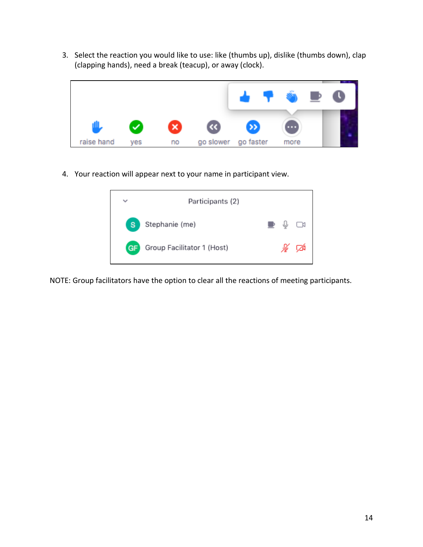3. Select the reaction you would like to use: like (thumbs up), dislike (thumbs down), clap (clapping hands), need a break (teacup), or away (clock).



4. Your reaction will appear next to your name in participant view.



NOTE: Group facilitators have the option to clear all the reactions of meeting participants.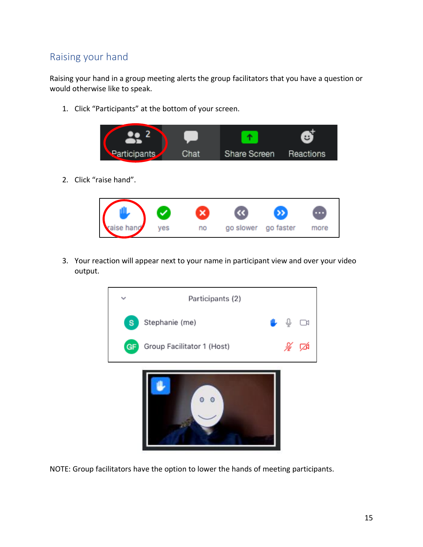## <span id="page-14-0"></span>Raising your hand

Raising your hand in a group meeting alerts the group facilitators that you have a question or would otherwise like to speak.

1. Click "Participants" at the bottom of your screen.



2. Click "raise hand".



3. Your reaction will appear next to your name in participant view and over your video output.



NOTE: Group facilitators have the option to lower the hands of meeting participants.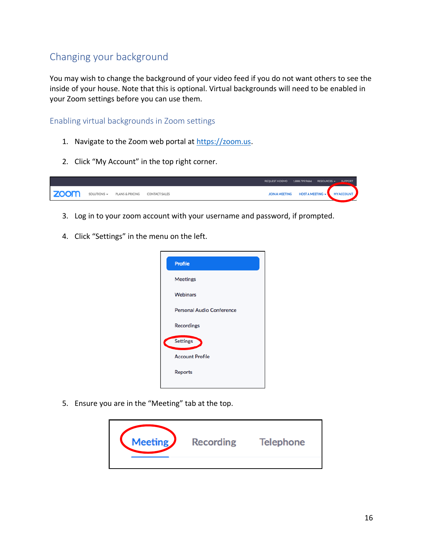## <span id="page-15-0"></span>Changing your background

You may wish to change the background of your video feed if you do not want others to see the inside of your house. Note that this is optional. Virtual backgrounds will need to be enabled in your Zoom settings before you can use them.

#### <span id="page-15-1"></span>Enabling virtual backgrounds in Zoom settings

- 1. Navigate to the Zoom web portal at [https://zoom.us.](https://zoom.us/)
- 2. Click "My Account" in the top right corner.



- 3. Log in to your zoom account with your username and password, if prompted.
- 4. Click "Settings" in the menu on the left.



5. Ensure you are in the "Meeting" tab at the top.

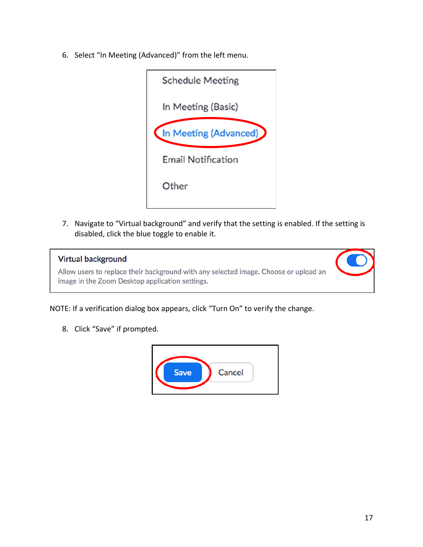6. Select "In Meeting (Advanced)" from the left menu.



7. Navigate to "Virtual background" and verify that the setting is enabled. If the setting is disabled, click the blue toggle to enable it.

#### **Virtual background**

Allow users to replace their background with any selected image. Choose or upload an image in the Zoom Desktop application settings.



NOTE: If a verification dialog box appears, click "Turn On" to verify the change.

8. Click "Save" if prompted.

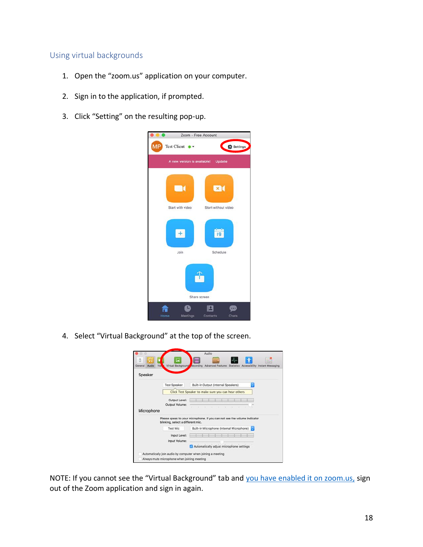#### <span id="page-17-0"></span>Using virtual backgrounds

- 1. Open the "zoom.us" application on your computer.
- 2. Sign in to the application, if prompted.
- 3. Click "Setting" on the resulting pop-up.



4. Select "Virtual Background" at the top of the screen.

|                                    |                                             | Audio                                                                            |
|------------------------------------|---------------------------------------------|----------------------------------------------------------------------------------|
| n                                  | 圜                                           |                                                                                  |
| Vid<br>General<br>Audio<br>Speaker | Virtual Background                          | Advanced Features Statistics Accessibility Instant Messaging<br><b>recording</b> |
|                                    | <b>Test Speaker</b>                         | Built-in Output (Internal Speakers)                                              |
|                                    |                                             | Click Test Speaker to make sure you can hear others                              |
|                                    | Output Level:<br>Output Volume:             |                                                                                  |
| Microphone                         |                                             | 11.77<br>- 18<br>W.<br>7.9<br><b>AND</b><br>$\sim$                               |
|                                    | blinking, select a different mic.           | Please speak to your microphone. If you can not see the volume indicator         |
|                                    | <b>Test Mic</b>                             | Built-in Microphone (Internal Microphone)                                        |
|                                    | Input Level:                                |                                                                                  |
|                                    | Input Volume:                               | Automatically adjust microphone settings                                         |
|                                    | Always mute microphone when joining meeting | Automatically join audio by computer when joining a meeting                      |

NOTE: If you cannot see the "Virtual Background" tab and [you have enabled it on zoom.us,](#page-15-1) sign out of the Zoom application and sign in again.